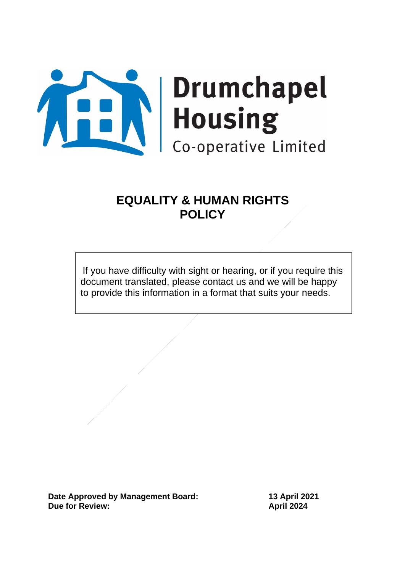

# **EQUALITY & HUMAN RIGHTS POLICY**

If you have difficulty with sight or hearing, or if you require this document translated, please contact us and we will be happy to provide this information in a format that suits your needs.

**Date Approved by Management Board: 13 April 2021 Due for Review: April 2024**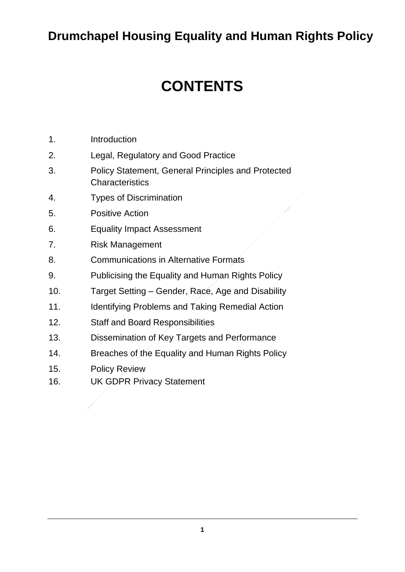# **Drumchapel Housing Equality and Human Rights Policy**

# **CONTENTS**

- 1. Introduction
- 2. Legal, Regulatory and Good Practice
- 3. Policy Statement, General Principles and Protected **Characteristics**
- 4. Types of Discrimination
- 5. Positive Action
- 6. Equality Impact Assessment
- 7. Risk Management
- 8. Communications in Alternative Formats
- 9. Publicising the Equality and Human Rights Policy
- 10. Target Setting Gender, Race, Age and Disability
- 11. Identifying Problems and Taking Remedial Action
- 12. Staff and Board Responsibilities
- 13. Dissemination of Key Targets and Performance
- 14. Breaches of the Equality and Human Rights Policy
- 15. Policy Review
- 16. UK GDPR Privacy Statement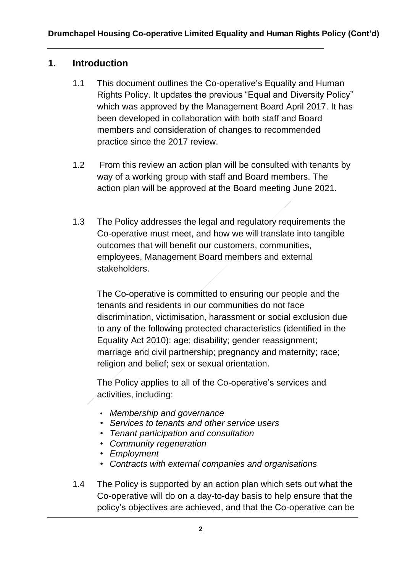#### **1. Introduction**

- 1.1 This document outlines the Co-operative's Equality and Human Rights Policy. It updates the previous "Equal and Diversity Policy" which was approved by the Management Board April 2017. It has been developed in collaboration with both staff and Board members and consideration of changes to recommended practice since the 2017 review.
- 1.2 From this review an action plan will be consulted with tenants by way of a working group with staff and Board members. The action plan will be approved at the Board meeting June 2021.
- 1.3 The Policy addresses the legal and regulatory requirements the Co-operative must meet, and how we will translate into tangible outcomes that will benefit our customers, communities, employees, Management Board members and external stakeholders.

The Co-operative is committed to ensuring our people and the tenants and residents in our communities do not face discrimination, victimisation, harassment or social exclusion due to any of the following protected characteristics (identified in the Equality Act 2010): age; disability; gender reassignment; marriage and civil partnership; pregnancy and maternity; race; religion and belief; sex or sexual orientation.

The Policy applies to all of the Co-operative's services and activities, including:

- *Membership and governance*
- *Services to tenants and other service users*
- *Tenant participation and consultation*
- *Community regeneration*
- *Employment*
- *Contracts with external companies and organisations*
- 1.4 The Policy is supported by an action plan which sets out what the Co-operative will do on a day-to-day basis to help ensure that the policy's objectives are achieved, and that the Co-operative can be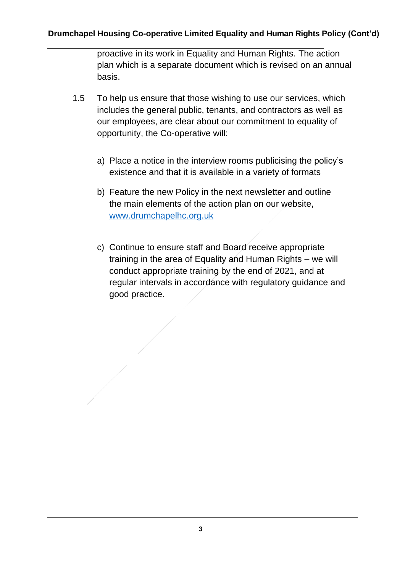proactive in its work in Equality and Human Rights. The action plan which is a separate document which is revised on an annual basis.

- 1.5 To help us ensure that those wishing to use our services, which includes the general public, tenants, and contractors as well as our employees, are clear about our commitment to equality of opportunity, the Co-operative will:
	- a) Place a notice in the interview rooms publicising the policy's existence and that it is available in a variety of formats
	- b) Feature the new Policy in the next newsletter and outline the main elements of the action plan on our website, [www.drumchapelhc.org.uk](http://www.drumchapelhc.org.uk/)
	- c) Continue to ensure staff and Board receive appropriate training in the area of Equality and Human Rights – we will conduct appropriate training by the end of 2021, and at regular intervals in accordance with regulatory guidance and good practice.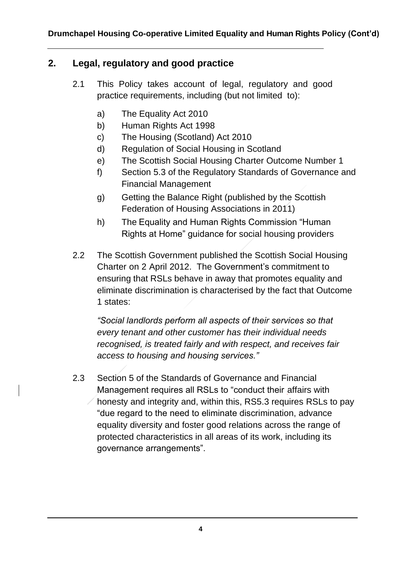# **2. Legal, regulatory and good practice**

- 2.1 This Policy takes account of legal, regulatory and good practice requirements, including (but not limited to):
	- a) The Equality Act 2010
	- b) Human Rights Act 1998
	- c) The Housing (Scotland) Act 2010
	- d) Regulation of Social Housing in Scotland
	- e) The Scottish Social Housing Charter Outcome Number 1
	- f) Section 5.3 of the Regulatory Standards of Governance and Financial Management
	- g) Getting the Balance Right (published by the Scottish Federation of Housing Associations in 2011)
	- h) The Equality and Human Rights Commission "Human Rights at Home" guidance for social housing providers
- 2.2 The Scottish Government published the Scottish Social Housing Charter on 2 April 2012. The Government's commitment to ensuring that RSLs behave in away that promotes equality and eliminate discrimination is characterised by the fact that Outcome 1 states:

*"Social landlords perform all aspects of their services so that every tenant and other customer has their individual needs recognised, is treated fairly and with respect, and receives fair access to housing and housing services."* 

2.3 Section 5 of the Standards of Governance and Financial Management requires all RSLs to "conduct their affairs with honesty and integrity and, within this, RS5.3 requires RSLs to pay "due regard to the need to eliminate discrimination, advance equality diversity and foster good relations across the range of protected characteristics in all areas of its work, including its governance arrangements".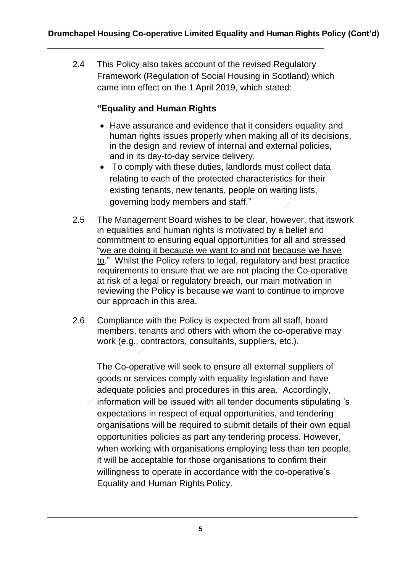2.4 This Policy also takes account of the revised Regulatory Framework (Regulation of Social Housing in Scotland) which came into effect on the 1 April 2019, which stated:

#### **"Equality and Human Rights**

- Have assurance and evidence that it considers equality and human rights issues properly when making all of its decisions, in the design and review of internal and external policies, and in its day-to-day service delivery.
- To comply with these duties, landlords must collect data relating to each of the protected characteristics for their existing tenants, new tenants, people on waiting lists, governing body members and staff."
- 2.5 The Management Board wishes to be clear, however, that itswork in equalities and human rights is motivated by a belief and commitment to ensuring equal opportunities for all and stressed "we are doing it because we want to and not because we have to." Whilst the Policy refers to legal, regulatory and best practice requirements to ensure that we are not placing the Co-operative at risk of a legal or regulatory breach, our main motivation in reviewing the Policy is because we want to continue to improve our approach in this area.
- 2.6 Compliance with the Policy is expected from all staff, board members, tenants and others with whom the co-operative may work (e.g., contractors, consultants, suppliers, etc.).

The Co-operative will seek to ensure all external suppliers of goods or services comply with equality legislation and have adequate policies and procedures in this area. Accordingly, information will be issued with all tender documents stipulating 's expectations in respect of equal opportunities, and tendering organisations will be required to submit details of their own equal opportunities policies as part any tendering process. However, when working with organisations employing less than ten people, it will be acceptable for those organisations to confirm their willingness to operate in accordance with the co-operative's Equality and Human Rights Policy.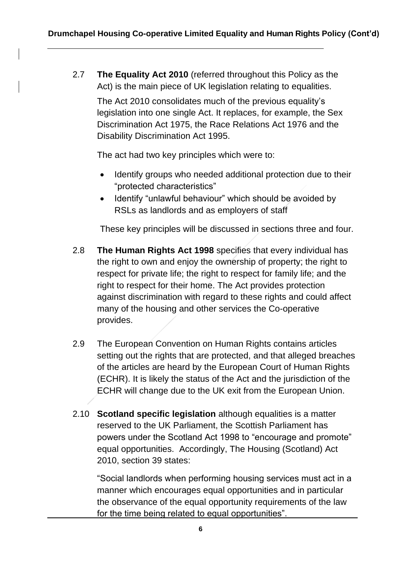2.7 **The Equality Act 2010** (referred throughout this Policy as the Act) is the main piece of UK legislation relating to equalities.

The Act 2010 consolidates much of the previous equality's legislation into one single Act. It replaces, for example, the Sex Discrimination Act 1975, the Race Relations Act 1976 and the Disability Discrimination Act 1995.

The act had two key principles which were to:

- Identify groups who needed additional protection due to their "protected characteristics"
- Identify "unlawful behaviour" which should be avoided by RSLs as landlords and as employers of staff

These key principles will be discussed in sections three and four.

- 2.8 **The Human Rights Act 1998** specifies that every individual has the right to own and enjoy the ownership of property; the right to respect for private life; the right to respect for family life; and the right to respect for their home. The Act provides protection against discrimination with regard to these rights and could affect many of the housing and other services the Co-operative provides.
- 2.9 The European Convention on Human Rights contains articles setting out the rights that are protected, and that alleged breaches of the articles are heard by the European Court of Human Rights (ECHR). It is likely the status of the Act and the jurisdiction of the ECHR will change due to the UK exit from the European Union.
- 2.10 **Scotland specific legislation** although equalities is a matter reserved to the UK Parliament, the Scottish Parliament has powers under the Scotland Act 1998 to "encourage and promote" equal opportunities. Accordingly, The Housing (Scotland) Act 2010, section 39 states:

"Social landlords when performing housing services must act in a manner which encourages equal opportunities and in particular the observance of the equal opportunity requirements of the law for the time being related to equal opportunities".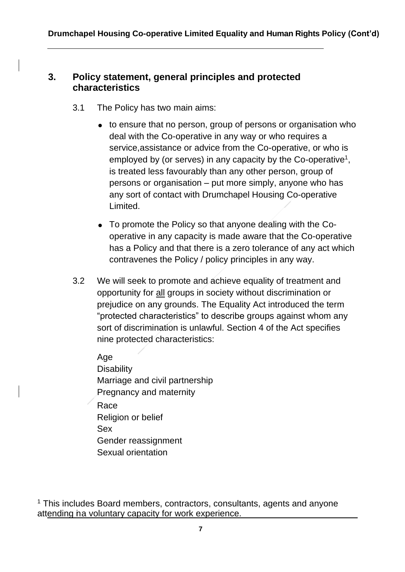#### **3. Policy statement, general principles and protected characteristics**

- 3.1 The Policy has two main aims:
	- to ensure that no person, group of persons or organisation who deal with the Co-operative in any way or who requires a service,assistance or advice from the Co-operative, or who is employed by (or serves) in any capacity by the Co-operative<sup>1</sup>, is treated less favourably than any other person, group of persons or organisation – put more simply, anyone who has any sort of contact with Drumchapel Housing Co-operative Limited.
	- To promote the Policy so that anyone dealing with the Cooperative in any capacity is made aware that the Co-operative has a Policy and that there is a zero tolerance of any act which contravenes the Policy / policy principles in any way.
- 3.2 We will seek to promote and achieve equality of treatment and opportunity for all groups in society without discrimination or prejudice on any grounds. The Equality Act introduced the term "protected characteristics" to describe groups against whom any sort of discrimination is unlawful. Section 4 of the Act specifies nine protected characteristics:

Age **Disability** Marriage and civil partnership Pregnancy and maternity Race Religion or belief Sex Gender reassignment Sexual orientation

 $1$  This includes Board members, contractors, consultants, agents and anyone attending ha voluntary capacity for work experience.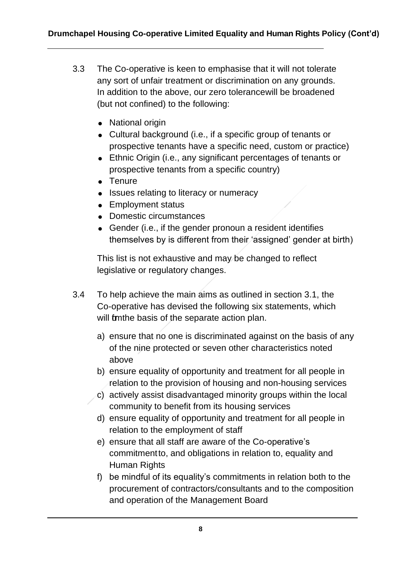- 3.3 The Co-operative is keen to emphasise that it will not tolerate any sort of unfair treatment or discrimination on any grounds. In addition to the above, our zero tolerancewill be broadened (but not confined) to the following:
	- National origin
	- Cultural background (i.e., if a specific group of tenants or prospective tenants have a specific need, custom or practice)
	- Ethnic Origin (i.e., any significant percentages of tenants or prospective tenants from a specific country)
	- Tenure
	- Issues relating to literacy or numeracy
	- Employment status
	- Domestic circumstances
	- Gender (i.e., if the gender pronoun a resident identifies themselves by is different from their 'assigned' gender at birth)

This list is not exhaustive and may be changed to reflect legislative or regulatory changes.

- 3.4 To help achieve the main aims as outlined in section 3.1, the Co-operative has devised the following six statements, which will formthe basis of the separate action plan.
	- a) ensure that no one is discriminated against on the basis of any of the nine protected or seven other characteristics noted above
	- b) ensure equality of opportunity and treatment for all people in relation to the provision of housing and non-housing services
	- c) actively assist disadvantaged minority groups within the local community to benefit from its housing services
	- d) ensure equality of opportunity and treatment for all people in relation to the employment of staff
	- e) ensure that all staff are aware of the Co-operative's commitment to, and obligations in relation to, equality and Human Rights
	- f) be mindful of its equality's commitments in relation both to the procurement of contractors/consultants and to the composition and operation of the Management Board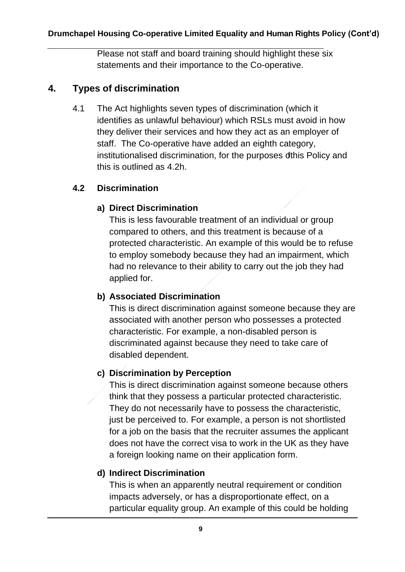Please not staff and board training should highlight these six statements and their importance to the Co-operative.

# **4. Types of discrimination**

4.1 The Act highlights seven types of discrimination (which it identifies as unlawful behaviour) which RSLs must avoid in how they deliver their services and how they act as an employer of staff. The Co-operative have added an eighth category, institutionalised discrimination, for the purposes of this Policy and this is outlined as 4.2h.

#### **4.2 Discrimination**

#### **a) Direct Discrimination**

This is less favourable treatment of an individual or group compared to others, and this treatment is because of a protected characteristic. An example of this would be to refuse to employ somebody because they had an impairment, which had no relevance to their ability to carry out the job they had applied for.

#### **b) Associated Discrimination**

This is direct discrimination against someone because they are associated with another person who possesses a protected characteristic. For example, a non-disabled person is discriminated against because they need to take care of disabled dependent.

#### **c) Discrimination by Perception**

This is direct discrimination against someone because others think that they possess a particular protected characteristic. They do not necessarily have to possess the characteristic, just be perceived to. For example, a person is not shortlisted for a job on the basis that the recruiter assumes the applicant does not have the correct visa to work in the UK as they have a foreign looking name on their application form.

#### **d) Indirect Discrimination**

This is when an apparently neutral requirement or condition impacts adversely, or has a disproportionate effect, on a particular equality group. An example of this could be holding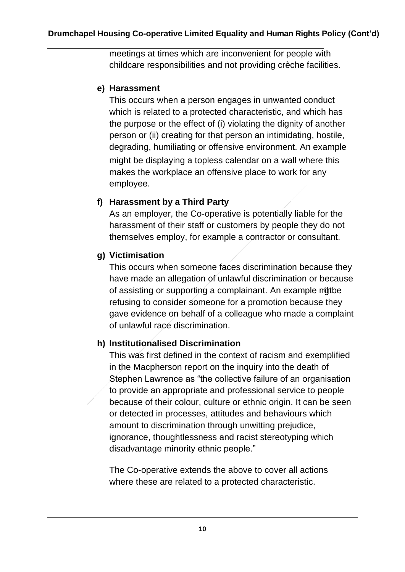meetings at times which are inconvenient for people with childcare responsibilities and not providing crèche facilities.

#### **e) Harassment**

This occurs when a person engages in unwanted conduct which is related to a protected characteristic, and which has the purpose or the effect of (i) violating the dignity of another person or (ii) creating for that person an intimidating, hostile, degrading, humiliating or offensive environment. An example might be displaying a topless calendar on a wall where this makes the workplace an offensive place to work for any employee.

#### **f) Harassment by a Third Party**

As an employer, the Co-operative is potentially liable for the harassment of their staff or customers by people they do not themselves employ, for example a contractor or consultant.

# **g) Victimisation**

This occurs when someone faces discrimination because they have made an allegation of unlawful discrimination or because of assisting or supporting a complainant. An example mittbe refusing to consider someone for a promotion because they gave evidence on behalf of a colleague who made a complaint of unlawful race discrimination.

# **h) Institutionalised Discrimination**

This was first defined in the context of racism and exemplified in the Macpherson report on the inquiry into the death of Stephen Lawrence as "the collective failure of an organisation to provide an appropriate and professional service to people because of their colour, culture or ethnic origin. It can be seen or detected in processes, attitudes and behaviours which amount to discrimination through unwitting prejudice, ignorance, thoughtlessness and racist stereotyping which disadvantage minority ethnic people."

The Co-operative extends the above to cover all actions where these are related to a protected characteristic.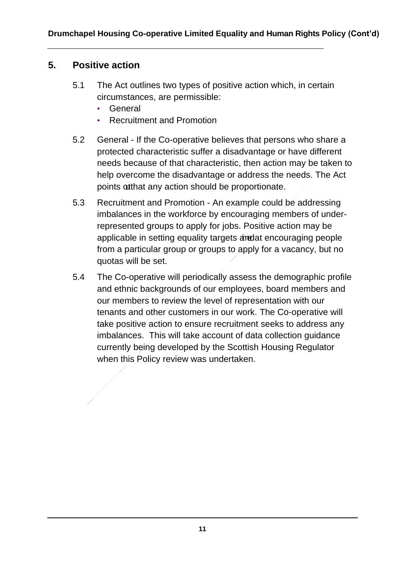# **5. Positive action**

- 5.1 The Act outlines two types of positive action which, in certain circumstances, are permissible:
	- General
	- Recruitment and Promotion
- 5.2 General If the Co-operative believes that persons who share a protected characteristic suffer a disadvantage or have different needs because of that characteristic, then action may be taken to help overcome the disadvantage or address the needs. The Act points outhat any action should be proportionate.
- 5.3 Recruitment and Promotion An example could be addressing imbalances in the workforce by encouraging members of underrepresented groups to apply for jobs. Positive action may be applicable in setting equality targets and at encouraging people from a particular group or groups to apply for a vacancy, but no quotas will be set.
- 5.4 The Co-operative will periodically assess the demographic profile and ethnic backgrounds of our employees, board members and our members to review the level of representation with our tenants and other customers in our work. The Co-operative will take positive action to ensure recruitment seeks to address any imbalances. This will take account of data collection guidance currently being developed by the Scottish Housing Regulator when this Policy review was undertaken.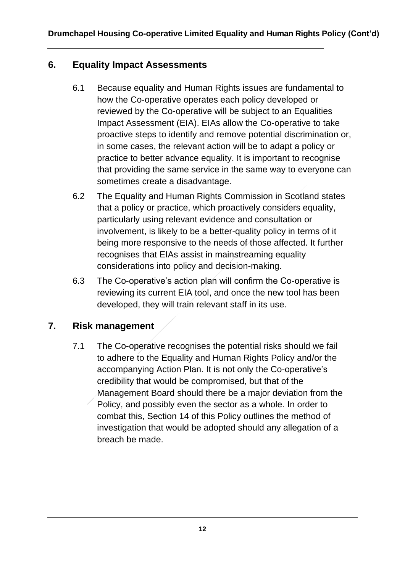### **6. Equality Impact Assessments**

- 6.1 Because equality and Human Rights issues are fundamental to how the Co-operative operates each policy developed or reviewed by the Co-operative will be subject to an Equalities Impact Assessment (EIA). EIAs allow the Co-operative to take proactive steps to identify and remove potential discrimination or, in some cases, the relevant action will be to adapt a policy or practice to better advance equality. It is important to recognise that providing the same service in the same way to everyone can sometimes create a disadvantage.
- 6.2 The Equality and Human Rights Commission in Scotland states that a policy or practice, which proactively considers equality, particularly using relevant evidence and consultation or involvement, is likely to be a better-quality policy in terms of it being more responsive to the needs of those affected. It further recognises that EIAs assist in mainstreaming equality considerations into policy and decision-making.
- 6.3 The Co-operative's action plan will confirm the Co-operative is reviewing its current EIA tool, and once the new tool has been developed, they will train relevant staff in its use.

# **7. Risk management**

7.1 The Co-operative recognises the potential risks should we fail to adhere to the Equality and Human Rights Policy and/or the accompanying Action Plan. It is not only the Co-operative's credibility that would be compromised, but that of the Management Board should there be a major deviation from the Policy, and possibly even the sector as a whole. In order to combat this, Section 14 of this Policy outlines the method of investigation that would be adopted should any allegation of a breach be made.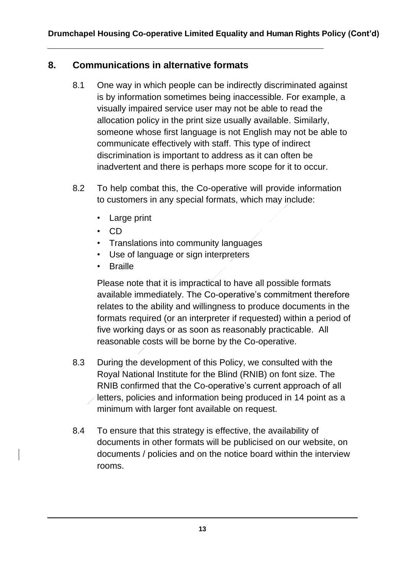# **8. Communications in alternative formats**

- 8.1 One way in which people can be indirectly discriminated against is by information sometimes being inaccessible. For example, a visually impaired service user may not be able to read the allocation policy in the print size usually available. Similarly, someone whose first language is not English may not be able to communicate effectively with staff. This type of indirect discrimination is important to address as it can often be inadvertent and there is perhaps more scope for it to occur.
- 8.2 To help combat this, the Co-operative will provide information to customers in any special formats, which may include:
	- Large print
	- CD
	- Translations into community languages
	- Use of language or sign interpreters
	- Braille

Please note that it is impractical to have all possible formats available immediately. The Co-operative's commitment therefore relates to the ability and willingness to produce documents in the formats required (or an interpreter if requested) within a period of five working days or as soon as reasonably practicable. All reasonable costs will be borne by the Co-operative.

- 8.3 During the development of this Policy, we consulted with the Royal National Institute for the Blind (RNIB) on font size. The RNIB confirmed that the Co-operative's current approach of all letters, policies and information being produced in 14 point as a minimum with larger font available on request.
- 8.4 To ensure that this strategy is effective, the availability of documents in other formats will be publicised on our website, on documents / policies and on the notice board within the interview rooms.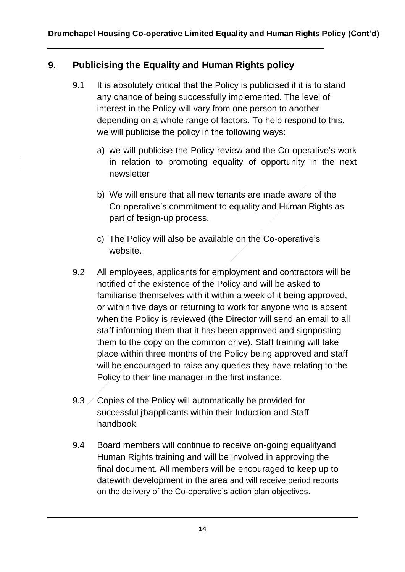# **9. Publicising the Equality and Human Rights policy**

- 9.1 It is absolutely critical that the Policy is publicised if it is to stand any chance of being successfully implemented. The level of interest in the Policy will vary from one person to another depending on a whole range of factors. To help respond to this, we will publicise the policy in the following ways:
	- a) we will publicise the Policy review and the Co-operative's work in relation to promoting equality of opportunity in the next newsletter
	- b) We will ensure that all new tenants are made aware of the Co-operative's commitment to equality and Human Rights as part of tesign-up process.
	- c) The Policy will also be available on the Co-operative's website.
- 9.2 All employees, applicants for employment and contractors will be notified of the existence of the Policy and will be asked to familiarise themselves with it within a week of it being approved, or within five days or returning to work for anyone who is absent when the Policy is reviewed (the Director will send an email to all staff informing them that it has been approved and signposting them to the copy on the common drive). Staff training will take place within three months of the Policy being approved and staff will be encouraged to raise any queries they have relating to the Policy to their line manager in the first instance.
- 9.3 Copies of the Policy will automatically be provided for successful joapplicants within their Induction and Staff handbook.
- 9.4 Board members will continue to receive on-going equalityand Human Rights training and will be involved in approving the final document. All members will be encouraged to keep up to date with development in the area and will receive period reports on the delivery of the Co-operative's action plan objectives.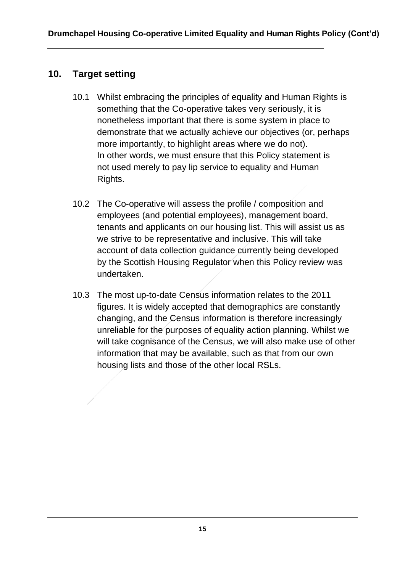# **10. Target setting**

- 10.1 Whilst embracing the principles of equality and Human Rights is something that the Co-operative takes very seriously, it is nonetheless important that there is some system in place to demonstrate that we actually achieve our objectives (or, perhaps more importantly, to highlight areas where we do not). In other words, we must ensure that this Policy statement is not used merely to pay lip service to equality and Human Rights.
- 10.2 The Co-operative will assess the profile / composition and employees (and potential employees), management board, tenants and applicants on our housing list. This will assist us as we strive to be representative and inclusive. This will take account of data collection guidance currently being developed by the Scottish Housing Regulator when this Policy review was undertaken.
- 10.3 The most up-to-date Census information relates to the 2011 figures. It is widely accepted that demographics are constantly changing, and the Census information is therefore increasingly unreliable for the purposes of equality action planning. Whilst we will take cognisance of the Census, we will also make use of other information that may be available, such as that from our own housing lists and those of the other local RSLs.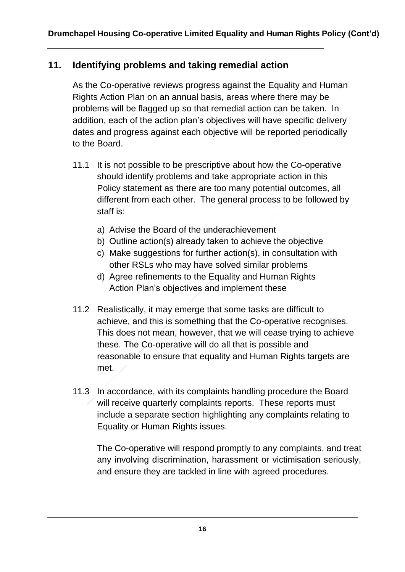# **11. Identifying problems and taking remedial action**

As the Co-operative reviews progress against the Equality and Human Rights Action Plan on an annual basis, areas where there may be problems will be flagged up so that remedial action can be taken. In addition, each of the action plan's objectives will have specific delivery dates and progress against each objective will be reported periodically to the Board.

- 11.1 It is not possible to be prescriptive about how the Co-operative should identify problems and take appropriate action in this Policy statement as there are too many potential outcomes, all different from each other. The general process to be followed by staff is:
	- a) Advise the Board of the underachievement
	- b) Outline action(s) already taken to achieve the objective
	- c) Make suggestions for further action(s), in consultation with other RSLs who may have solved similar problems
	- d) Agree refinements to the Equality and Human Rights Action Plan's objectives and implement these
- 11.2 Realistically, it may emerge that some tasks are difficult to achieve, and this is something that the Co-operative recognises. This does not mean, however, that we will cease trying to achieve these. The Co-operative will do all that is possible and reasonable to ensure that equality and Human Rights targets are met.
- 11.3 In accordance, with its complaints handling procedure the Board will receive quarterly complaints reports. These reports must include a separate section highlighting any complaints relating to Equality or Human Rights issues.

The Co-operative will respond promptly to any complaints, and treat any involving discrimination, harassment or victimisation seriously, and ensure they are tackled in line with agreed procedures.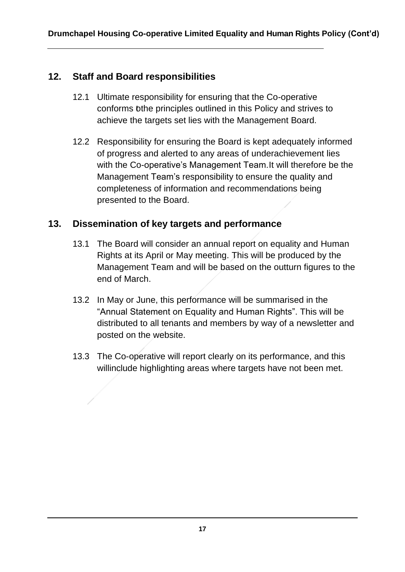# **12. Staff and Board responsibilities**

- 12.1 Ultimate responsibility for ensuring that the Co-operative conforms tothe principles outlined in this Policy and strives to achieve the targets set lies with the Management Board.
- 12.2 Responsibility for ensuring the Board is kept adequately informed of progress and alerted to any areas of underachievement lies with the Co-operative's Management Team. It will therefore be the Management Team's responsibility to ensure the quality and completeness of information and recommendations being presented to the Board.

# **13. Dissemination of key targets and performance**

- 13.1 The Board will consider an annual report on equality and Human Rights at its April or May meeting. This will be produced by the Management Team and will be based on the outturn figures to the end of March.
- 13.2 In May or June, this performance will be summarised in the "Annual Statement on Equality and Human Rights". This will be distributed to all tenants and members by way of a newsletter and posted on the website.
- 13.3 The Co-operative will report clearly on its performance, and this willinclude highlighting areas where targets have not been met.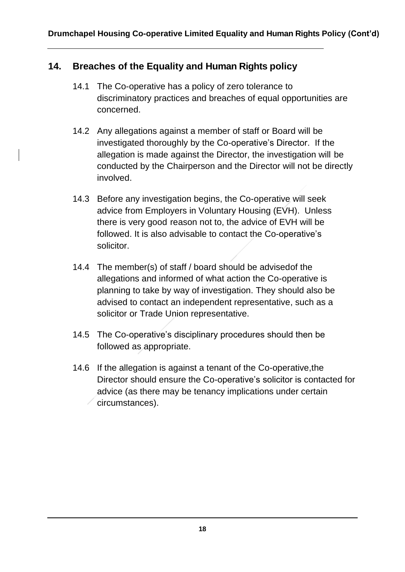# **14. Breaches of the Equality and Human Rights policy**

- 14.1 The Co-operative has a policy of zero tolerance to discriminatory practices and breaches of equal opportunities are concerned.
- 14.2 Any allegations against a member of staff or Board will be investigated thoroughly by the Co-operative's Director. If the allegation is made against the Director, the investigation will be conducted by the Chairperson and the Director will not be directly involved.
- 14.3 Before any investigation begins, the Co-operative will seek advice from Employers in Voluntary Housing (EVH). Unless there is very good reason not to, the advice of EVH will be followed. It is also advisable to contact the Co-operative's solicitor.
- 14.4 The member(s) of staff / board should be advised of the allegations and informed of what action the Co-operative is planning to take by way of investigation. They should also be advised to contact an independent representative, such as a solicitor or Trade Union representative.
- 14.5 The Co-operative's disciplinary procedures should then be followed as appropriate.
- 14.6 If the allegation is against a tenant of the Co-operative,the Director should ensure the Co-operative's solicitor is contacted for advice (as there may be tenancy implications under certain circumstances).